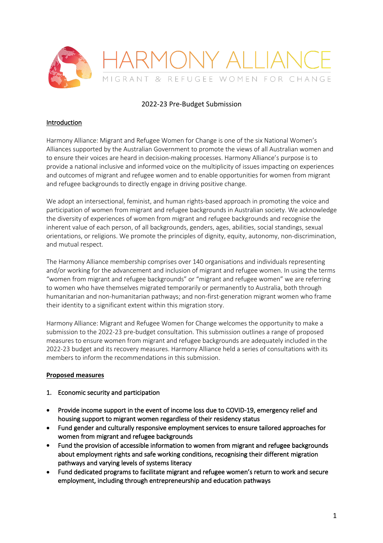

## 2022-23 Pre-Budget Submission

### **Introduction**

Harmony Alliance: Migrant and Refugee Women for Change is one of the six National Women's Alliances supported by the Australian Government to promote the views of all Australian women and to ensure their voices are heard in decision-making processes. Harmony Alliance's purpose is to provide a national inclusive and informed voice on the multiplicity of issues impacting on experiences and outcomes of migrant and refugee women and to enable opportunities for women from migrant and refugee backgrounds to directly engage in driving positive change.

We adopt an intersectional, feminist, and human rights-based approach in promoting the voice and participation of women from migrant and refugee backgrounds in Australian society. We acknowledge the diversity of experiences of women from migrant and refugee backgrounds and recognise the inherent value of each person, of all backgrounds, genders, ages, abilities, social standings, sexual orientations, or religions. We promote the principles of dignity, equity, autonomy, non-discrimination, and mutual respect.

The Harmony Alliance membership comprises over 140 organisations and individuals representing and/or working for the advancement and inclusion of migrant and refugee women. In using the terms "women from migrant and refugee backgrounds" or "migrant and refugee women" we are referring to women who have themselves migrated temporarily or permanently to Australia, both through humanitarian and non-humanitarian pathways; and non-first-generation migrant women who frame their identity to a significant extent within this migration story.

Harmony Alliance: Migrant and Refugee Women for Change welcomes the opportunity to make a submission to the 2022-23 pre-budget consultation. This submission outlines a range of proposed measures to ensure women from migrant and refugee backgrounds are adequately included in the 2022-23 budget and its recovery measures. Harmony Alliance held a series of consultations with its members to inform the recommendations in this submission.

## **Proposed measures**

#### 1. Economic security and participation

- Provide income support in the event of income loss due to COVID-19, emergency relief and housing support to migrant women regardless of their residency status
- Fund gender and culturally responsive employment services to ensure tailored approaches for women from migrant and refugee backgrounds
- Fund the provision of accessible information to women from migrant and refugee backgrounds about employment rights and safe working conditions, recognising their different migration pathways and varying levels of systems literacy
- Fund dedicated programs to facilitate migrant and refugee women's return to work and secure employment, including through entrepreneurship and education pathways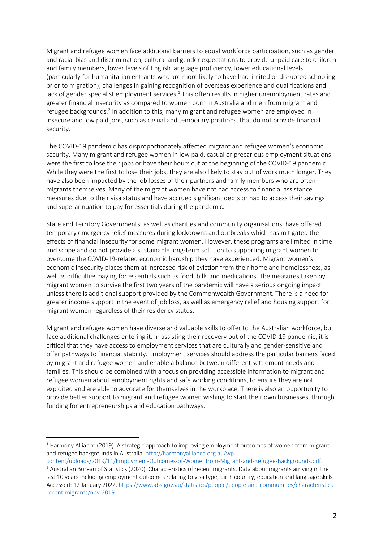Migrant and refugee women face additional barriers to equal workforce participation, such as gender and racial bias and discrimination, cultural and gender expectations to provide unpaid care to children and family members, lower levels of English language proficiency, lower educational levels (particularly for humanitarian entrants who are more likely to have had limited or disrupted schooling prior to migration), challenges in gaining recognition of overseas experience and qualifications and lack of gender specialist employment services.<sup>1</sup> This often results in higher unemployment rates and greater financial insecurity as compared to women born in Australia and men from migrant and refugee backgrounds.<sup>2</sup> In addition to this, many migrant and refugee women are employed in insecure and low paid jobs, such as casual and temporary positions, that do not provide financial security.

The COVID-19 pandemic has disproportionately affected migrant and refugee women's economic security. Many migrant and refugee women in low paid, casual or precarious employment situations were the first to lose their jobs or have their hours cut at the beginning of the COVID-19 pandemic. While they were the first to lose their jobs, they are also likely to stay out of work much longer. They have also been impacted by the job losses of their partners and family members who are often migrants themselves. Many of the migrant women have not had access to financial assistance measures due to their visa status and have accrued significant debts or had to access their savings and superannuation to pay for essentials during the pandemic.

State and Territory Governments, as well as charities and community organisations, have offered temporary emergency relief measures during lockdowns and outbreaks which has mitigated the effects of financial insecurity for some migrant women. However, these programs are limited in time and scope and do not provide a sustainable long-term solution to supporting migrant women to overcome the COVID-19-related economic hardship they have experienced. Migrant women's economic insecurity places them at increased risk of eviction from their home and homelessness, as well as difficulties paying for essentials such as food, bills and medications. The measures taken by migrant women to survive the first two years of the pandemic will have a serious ongoing impact unless there is additional support provided by the Commonwealth Government. There is a need for greater income support in the event of job loss, as well as emergency relief and housing support for migrant women regardless of their residency status.

Migrant and refugee women have diverse and valuable skills to offer to the Australian workforce, but face additional challenges entering it. In assisting their recovery out of the COVID-19 pandemic, it is critical that they have access to employment services that are culturally and gender-sensitive and offer pathways to financial stability. Employment services should address the particular barriers faced by migrant and refugee women and enable a balance between different settlement needs and families. This should be combined with a focus on providing accessible information to migrant and refugee women about employment rights and safe working conditions, to ensure they are not exploited and are able to advocate for themselves in the workplace. There is also an opportunity to provide better support to migrant and refugee women wishing to start their own businesses, through funding for entrepreneurships and education pathways.

 $1$  Harmony Alliance (2019). A strategic approach to improving employment outcomes of women from migrant and refugee backgrounds in Australia. http://harmonyalliance.org.au/wp-

content/uploads/2019/11/Empoyment-Outcomes-of-Womenfrom-Migrant-and-Refugee-Backgrounds.pdf.

<sup>&</sup>lt;sup>2</sup> Australian Bureau of Statistics (2020). Characteristics of recent migrants. Data about migrants arriving in the last 10 years including employment outcomes relating to visa type, birth country, education and language skills. Accessed: 12 January 2022, https://www.abs.gov.au/statistics/people/people-and-communities/characteristicsrecent-migrants/nov-2019.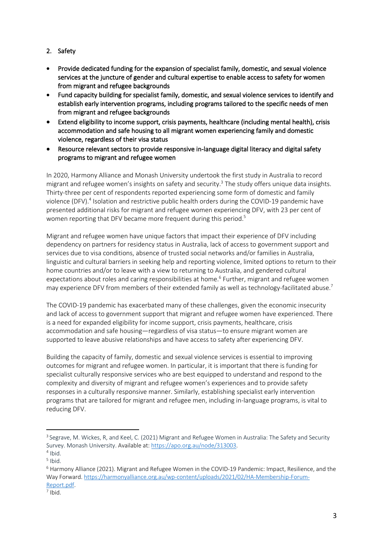- 2. Safety
- Provide dedicated funding for the expansion of specialist family, domestic, and sexual violence services at the juncture of gender and cultural expertise to enable access to safety for women from migrant and refugee backgrounds
- Fund capacity building for specialist family, domestic, and sexual violence services to identify and establish early intervention programs, including programs tailored to the specific needs of men from migrant and refugee backgrounds
- Extend eligibility to income support, crisis payments, healthcare (including mental health), crisis accommodation and safe housing to all migrant women experiencing family and domestic violence, regardless of their visa status
- Resource relevant sectors to provide responsive in-language digital literacy and digital safety programs to migrant and refugee women

In 2020, Harmony Alliance and Monash University undertook the first study in Australia to record migrant and refugee women's insights on safety and security. $3$  The study offers unique data insights. Thirty-three per cent of respondents reported experiencing some form of domestic and family violence (DFV). <sup>4</sup> Isolation and restrictive public health orders during the COVID-19 pandemic have presented additional risks for migrant and refugee women experiencing DFV, with 23 per cent of women reporting that DFV became more frequent during this period.<sup>5</sup>

Migrant and refugee women have unique factors that impact their experience of DFV including dependency on partners for residency status in Australia, lack of access to government support and services due to visa conditions, absence of trusted social networks and/or families in Australia, linguistic and cultural barriers in seeking help and reporting violence, limited options to return to their home countries and/or to leave with a view to returning to Australia, and gendered cultural expectations about roles and caring responsibilities at home.<sup>6</sup> Further, migrant and refugee women may experience DFV from members of their extended family as well as technology-facilitated abuse.<sup>7</sup>

The COVID-19 pandemic has exacerbated many of these challenges, given the economic insecurity and lack of access to government support that migrant and refugee women have experienced. There is a need for expanded eligibility for income support, crisis payments, healthcare, crisis accommodation and safe housing—regardless of visa status—to ensure migrant women are supported to leave abusive relationships and have access to safety after experiencing DFV.

Building the capacity of family, domestic and sexual violence services is essential to improving outcomes for migrant and refugee women. In particular, it is important that there is funding for specialist culturally responsive services who are best equipped to understand and respond to the complexity and diversity of migrant and refugee women's experiences and to provide safety responses in a culturally responsive manner. Similarly, establishing specialist early intervention programs that are tailored for migrant and refugee men, including in-language programs, is vital to reducing DFV.

<sup>&</sup>lt;sup>3</sup> Segrave, M. Wickes, R, and Keel, C. (2021) Migrant and Refugee Women in Australia: The Safety and Security Survey. Monash University. Available at: https://apo.org.au/node/313003.  $4$  Ibid.

 $<sup>5</sup>$  Ibid.</sup>

<sup>6</sup> Harmony Alliance (2021). Migrant and Refugee Women in the COVID-19 Pandemic: Impact, Resilience, and the Way Forward. https://harmonyalliance.org.au/wp-content/uploads/2021/02/HA-Membership-Forum-Report.pdf.

 $<sup>7</sup>$  Ibid.</sup>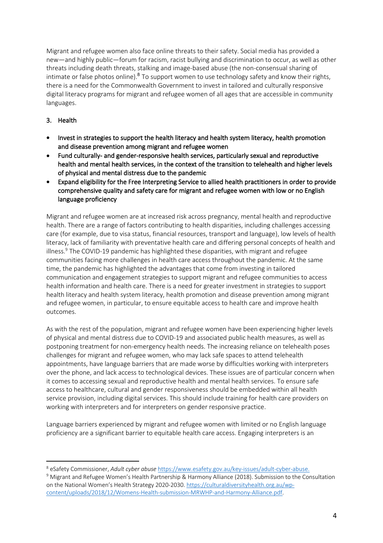Migrant and refugee women also face online threats to their safety. Social media has provided a new—and highly public—forum for racism, racist bullying and discrimination to occur, as well as other threats including death threats, stalking and image-based abuse (the non-consensual sharing of intimate or false photos online).<sup>8</sup> To support women to use technology safety and know their rights, there is a need for the Commonwealth Government to invest in tailored and culturally responsive digital literacy programs for migrant and refugee women of all ages that are accessible in community languages.

# 3. Health

- Invest in strategies to support the health literacy and health system literacy, health promotion and disease prevention among migrant and refugee women
- Fund culturally- and gender-responsive health services, particularly sexual and reproductive health and mental health services, in the context of the transition to telehealth and higher levels of physical and mental distress due to the pandemic
- Expand eligibility for the Free Interpreting Service to allied health practitioners in order to provide comprehensive quality and safety care for migrant and refugee women with low or no English language proficiency

Migrant and refugee women are at increased risk across pregnancy, mental health and reproductive health. There are a range of factors contributing to health disparities, including challenges accessing care (for example, due to visa status, financial resources, transport and language), low levels of health literacy, lack of familiarity with preventative health care and differing personal concepts of health and illness. $9$  The COVID-19 pandemic has highlighted these disparities, with migrant and refugee communities facing more challenges in health care access throughout the pandemic. At the same time, the pandemic has highlighted the advantages that come from investing in tailored communication and engagement strategies to support migrant and refugee communities to access health information and health care. There is a need for greater investment in strategies to support health literacy and health system literacy, health promotion and disease prevention among migrant and refugee women, in particular, to ensure equitable access to health care and improve health outcomes.

As with the rest of the population, migrant and refugee women have been experiencing higher levels of physical and mental distress due to COVID-19 and associated public health measures, as well as postponing treatment for non-emergency health needs. The increasing reliance on telehealth poses challenges for migrant and refugee women, who may lack safe spaces to attend telehealth appointments, have language barriers that are made worse by difficulties working with interpreters over the phone, and lack access to technological devices. These issues are of particular concern when it comes to accessing sexual and reproductive health and mental health services. To ensure safe access to healthcare, cultural and gender responsiveness should be embedded within all health service provision, including digital services. This should include training for health care providers on working with interpreters and for interpreters on gender responsive practice.

Language barriers experienced by migrant and refugee women with limited or no English language proficiency are a significant barrier to equitable health care access. Engaging interpreters is an

<sup>8</sup> eSafety Commissioner, *Adult cyber abuse* https://www.esafety.gov.au/key-issues/adult-cyber-abuse. <sup>9</sup> Migrant and Refugee Women's Health Partnership & Harmony Alliance (2018). Submission to the Consultation on the National Women's Health Strategy 2020-2030. https://culturaldiversityhealth.org.au/wpcontent/uploads/2018/12/Womens-Health-submission-MRWHP-and-Harmony-Alliance.pdf.